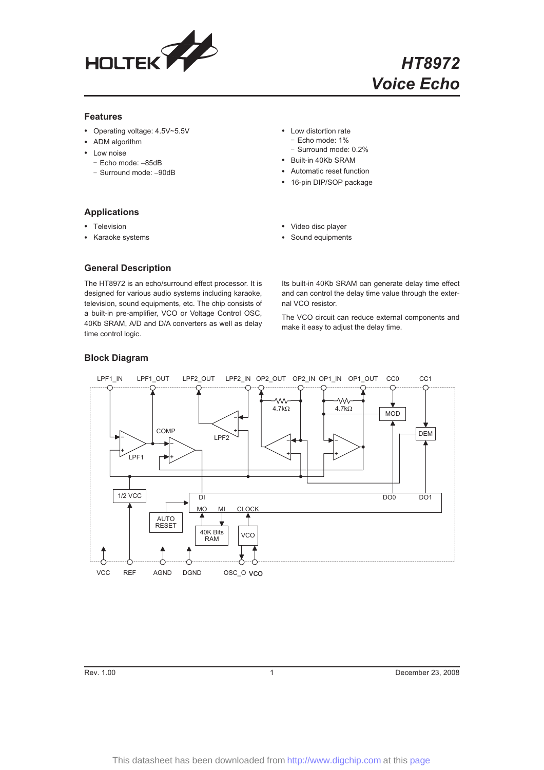

### **Features**

- Operating voltage: 4.5V~5.5V
- ADM algorithm
- Low noise
	- Echo mode: -85dB
	- Surround mode: -90dB
- Low distortion rate - Echo mode: 1% - Surround mode: 0.2%
- Built-in 40Kb SRAM
- Automatic reset function
- 16-pin DIP/SOP package

#### **Applications**

- Television
- Karaoke systems
- Video disc player
- Sound equipments

#### **General Description**

The HT8972 is an echo/surround effect processor. It is designed for various audio systems including karaoke, television, sound equipments, etc. The chip consists of a built-in pre-amplifier, VCO or Voltage Control OSC, 40Kb SRAM, A/D and D/A converters as well as delay time control logic.

Its built-in 40Kb SRAM can generate delay time effect and can control the delay time value through the external VCO resistor.

The VCO circuit can reduce external components and make it easy to adjust the delay time.



### **Block Diagram**

Rev. 1.00 **December 23, 2008** 1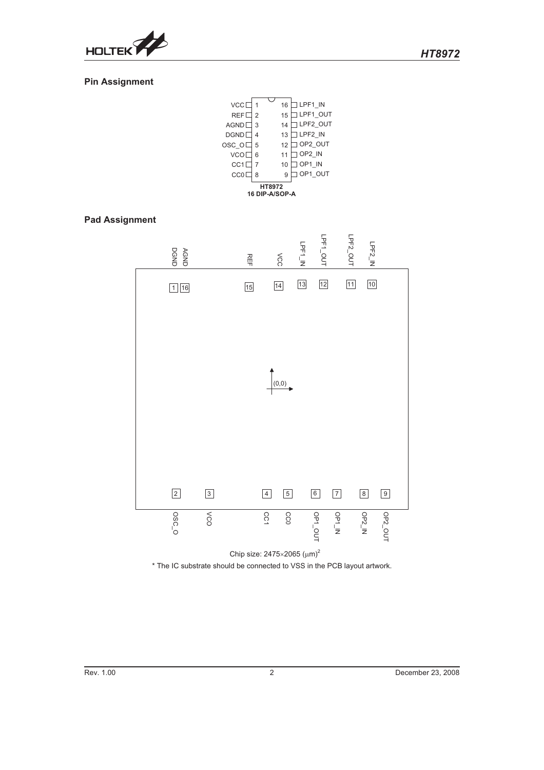

## **Pin Assignment**

| <b>VCC</b> <sub>L</sub>  |                | 16 | LPF1 IN          |  |
|--------------------------|----------------|----|------------------|--|
| REF C                    | $\overline{2}$ | 15 | LPF1 OUT         |  |
| AGND <sup>[</sup>        | 3              | 14 | LPF2 OUT         |  |
| <b>DGND</b>              | 4              | 13 | LPF2 IN          |  |
| )SC O[                   | 5              | 12 | OP2 OUT          |  |
| <b>VCO</b> <sub>L</sub>  | 6              | 11 | $\exists$ OP2 IN |  |
| CC1 <sub>2</sub>         | $\overline{7}$ | 10 | OP1 IN           |  |
| CC0 <sub>0</sub>         | 8              | 9  | OP1 OUT          |  |
| HT8972<br>16 DIP-A/SOP-A |                |    |                  |  |

 $\overline{\phantom{a}}$ 

## **Pad Assignment**



Chip size:  $2475\times2065$  ( $\mu$ m)<sup>2</sup> \* The IC substrate should be connected to VSS in the PCB layout artwork.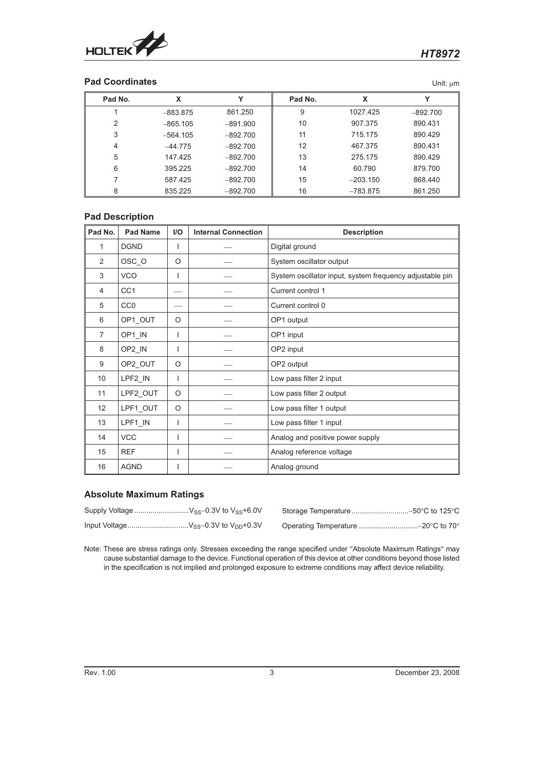

## **Pad Coordinates** Unit:  $\mu$ m

| Pad No.        | x          | v          | Pad No. | X          | v          |
|----------------|------------|------------|---------|------------|------------|
|                | $-883.875$ | 861.250    | 9       | 1027.425   | $-892.700$ |
| 2              | $-865.105$ | $-891.900$ | 10      | 907.375    | 890.431    |
| 3              | $-564.105$ | $-892.700$ | 11      | 715.175    | 890.429    |
| $\overline{4}$ | $-44.775$  | $-892.700$ | 12      | 467.375    | 890.431    |
| 5              | 147.425    | $-892.700$ | 13      | 275.175    | 890.429    |
| 6              | 395.225    | $-892.700$ | 14      | 60.790     | 879.700    |
|                | 587.425    | $-892.700$ | 15      | $-203.150$ | 868,440    |
| 8              | 835.225    | $-892.700$ | 16      | $-783.875$ | 861.250    |

## **Pad Description**

| Pad No.        | <b>Pad Name</b> | I/O     | <b>Internal Connection</b> | <b>Description</b>                                       |
|----------------|-----------------|---------|----------------------------|----------------------------------------------------------|
| 1              | <b>DGND</b>     | ı       |                            | Digital ground                                           |
| 2              | OSC_O           | O       |                            | System oscillator output                                 |
| 3              | <b>VCO</b>      | L       |                            | System oscillator input, system frequency adjustable pin |
| 4              | CC <sub>1</sub> |         |                            | Current control 1                                        |
| 5              | CC <sub>0</sub> |         |                            | Current control 0                                        |
| 6              | OP1_OUT         | $\circ$ |                            | OP1 output                                               |
| $\overline{7}$ | OP1_IN          | I       |                            | OP1 input                                                |
| 8              | OP2 IN          | ı       |                            | OP2 input                                                |
| 9              | OP2_OUT         | O       |                            | OP2 output                                               |
| 10             | LPF2_IN         | I       |                            | Low pass filter 2 input                                  |
| 11             | LPF2 OUT        | $\circ$ |                            | Low pass filter 2 output                                 |
| 12             | LPF1 OUT        | $\circ$ |                            | Low pass filter 1 output                                 |
| 13             | LPF1_IN         |         |                            | Low pass filter 1 input                                  |
| 14             | <b>VCC</b>      | I       |                            | Analog and positive power supply                         |
| 15             | <b>REF</b>      | I       |                            | Analog reference voltage                                 |
| 16             | <b>AGND</b>     |         |                            | Analog ground                                            |

### **Absolute Maximum Ratings**

0.3V to V<sub>SS</sub>+6.0V Storage Temperature ..............................-50°C to 125°C 0.3V to V<sub>DD</sub>+0.3V  $\hskip1cm$  Operating Temperature ..............................-20°C to 70°

Note: These are stress ratings only. Stresses exceeding the range specified under "Absolute Maximum Ratings" may cause substantial damage to the device. Functional operation of this device at other conditions beyond those listed in the specification is not implied and prolonged exposure to extreme conditions may affect device reliability.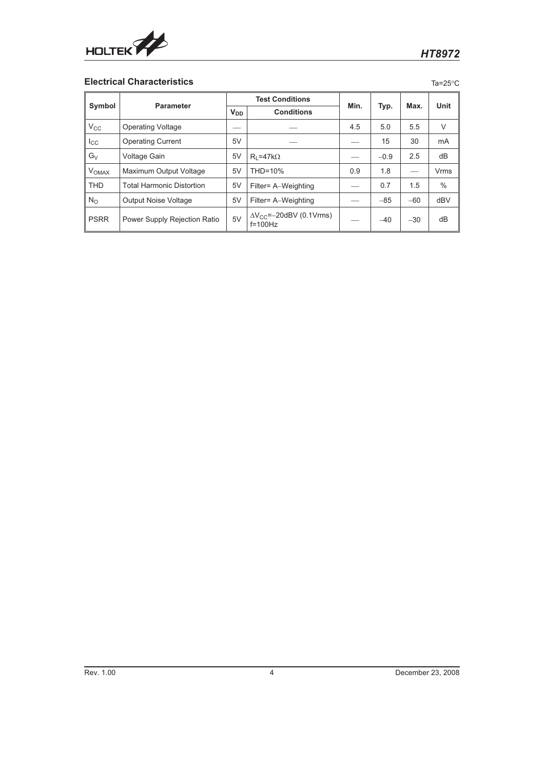

## **Electrical Characteristics** Tass **Tasks**

| ., |  |
|----|--|

| Parameter               |                                  | <b>Test Conditions</b> |                                                 | Min. |        | Max.  | Unit |
|-------------------------|----------------------------------|------------------------|-------------------------------------------------|------|--------|-------|------|
|                         | Symbol                           |                        | <b>V<sub>DD</sub></b><br><b>Conditions</b>      |      | Typ.   |       |      |
| $V_{\rm CC}$            | <b>Operating Voltage</b>         |                        |                                                 | 4.5  | 5.0    | 5.5   | V    |
| $_{\rm lcc}$            | <b>Operating Current</b>         | 5V                     |                                                 |      | 15     | 30    | mA   |
| $G_V$                   | Voltage Gain                     | 5V                     | $R_1 = 47k\Omega$                               |      | $-0.9$ | 2.5   | dB   |
| <b>V<sub>OMAX</sub></b> | Maximum Output Voltage           | 5V                     | THD=10%                                         | 0.9  | 1.8    |       | Vrms |
| <b>THD</b>              | <b>Total Harmonic Distortion</b> | 5V                     | Filter= A-Weighting                             |      | 0.7    | 1.5   | $\%$ |
| $N_{\rm O}$             | <b>Output Noise Voltage</b>      | 5V                     | Filter= A-Weighting                             |      | $-85$  | $-60$ | dBV  |
| <b>PSRR</b>             | Power Supply Rejection Ratio     | 5V                     | $\Delta V_{CC}$ =-20dBV (0.1Vrms)<br>$f=100$ Hz |      | $-40$  | $-30$ | dB   |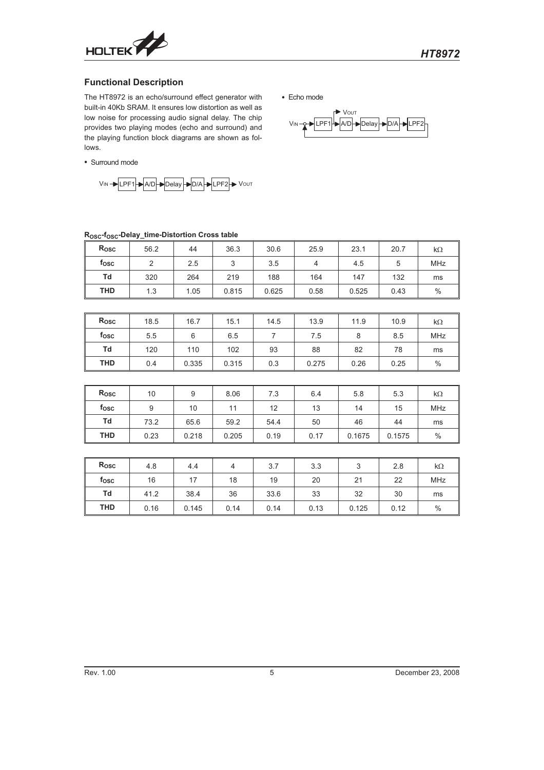

D├▶ Delay ├▶ D/A├▶ LPF

Vou

### **Functional Description**

The HT8972 is an echo/surround effect generator with built-in 40Kb SRAM. It ensures low distortion as well as low noise for processing audio signal delay. The chip provides two playing modes (echo and surround) and the playing function block diagrams are shown as follows.

Surround mode



## **ROSC-fOSC-Delay\_time-Distortion Cross table**

| Rosc       | 56.2            | 44              | 36.3           | 30.6           | 25.9           | 23.1   | 20.7   | $k\Omega$  |
|------------|-----------------|-----------------|----------------|----------------|----------------|--------|--------|------------|
| fosc       | $\overline{2}$  | 2.5             | 3 <sup>1</sup> | 3.5            | $\overline{4}$ | 4.5    | 5      | <b>MHz</b> |
| Td         | 320             | 264             | 219            | 188            | 164            | 147    | 132    | ms         |
| <b>THD</b> | 1.3             | 1.05            | 0.815          | 0.625          | 0.58           | 0.525  | 0.43   | $\%$       |
|            |                 |                 |                |                |                |        |        |            |
| Rosc       | 18.5            | 16.7            | 15.1           | 14.5           | 13.9           | 11.9   | 10.9   | $k\Omega$  |
| fosc       | 5.5             | 6               | 6.5            | $\overline{7}$ | 7.5            | 8      | 8.5    | MHz        |
| Td         | 120             | 110             | 102            | 93             | 88             | 82     | 78     | ms         |
| <b>THD</b> | 0.4             | 0.335           | 0.315          | 0.3            | 0.275          | 0.26   | 0.25   | %          |
|            |                 |                 |                |                |                |        |        |            |
| Rosc       | 10 <sup>°</sup> | 9               | 8.06           | 7.3            | 6.4            | 5.8    | 5.3    | k $\Omega$ |
| fosc       | 9               | 10 <sup>°</sup> | 11             | 12             | 13             | 14     | 15     | <b>MHz</b> |
| Td         | 73.2            | 65.6            | 59.2           | 54.4           | 50             | 46     | 44     | ms         |
| <b>THD</b> | 0.23            | 0.218           | 0.205          | 0.19           | 0.17           | 0.1675 | 0.1575 | $\%$       |
|            |                 |                 |                |                |                |        |        |            |
| Rosc       | 4.8             | 4.4             | $\overline{4}$ | 3.7            | 3.3            | 3      | 2.8    | $k\Omega$  |
| fosc       | 16              | 17              | 18             | 19             | 20             | 21     | 22     | <b>MHz</b> |
| Td         | 41.2            | 38.4            | 36             | 33.6           | 33             | 32     | 30     | ms         |
| <b>THD</b> | 0.16            | 0.145           | 0.14           | 0.14           | 0.13           | 0.125  | 0.12   | $\%$       |

Echo mode

 $V_{IN} - 2$  - LPF1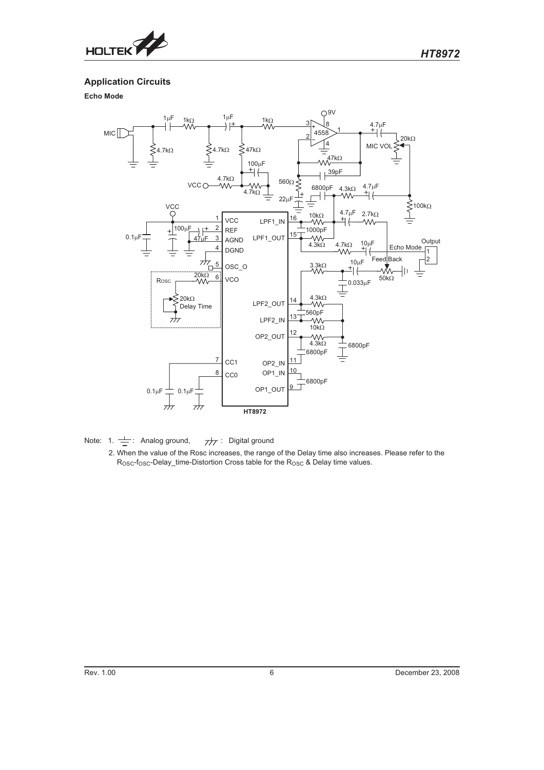

**Application Circuits**

**Echo Mode**



Note: 1.  $\frac{1}{\frac{1}{\cdots}}$ : Analog ground,  $\frac{1}{\sqrt{7}}$ : Digital ground

2. When the value of the Rosc increases, the range of the Delay time also increases. Please refer to the R<sub>OSC</sub>-f<sub>OSC</sub>-Delay\_time-Distortion Cross table for the R<sub>OSC</sub> & Delay time values.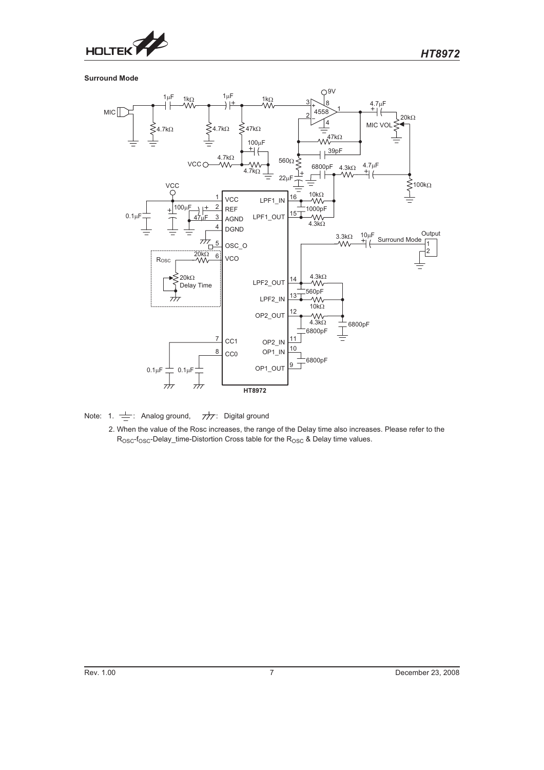

**Surround Mode**



Note: 1.  $\frac{1}{\sqrt{2}}$ : Analog ground,  $\frac{1}{\sqrt{2}}$ : Digital ground

2. When the value of the Rosc increases, the range of the Delay time also increases. Please refer to the R<sub>OSC</sub>-f<sub>OSC</sub>-Delay\_time-Distortion Cross table for the R<sub>OSC</sub> & Delay time values.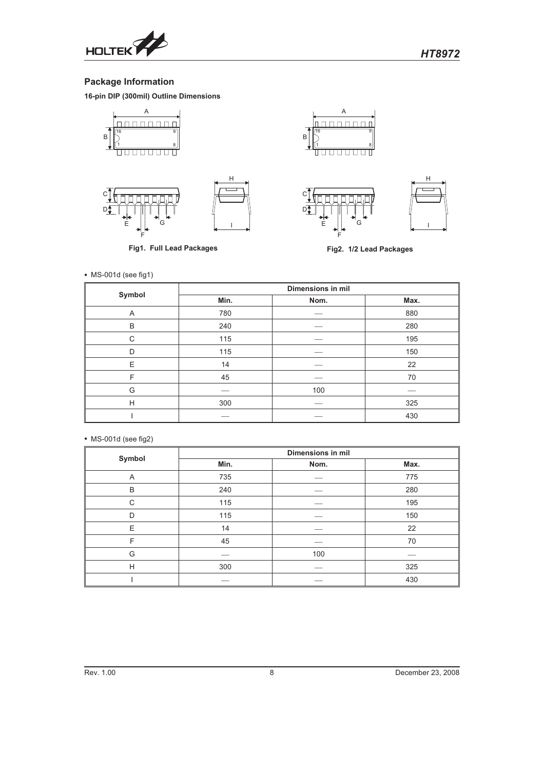

# **Package Information**

**16-pin DIP (300mil) Outline Dimensions**





**Fig1. Full Lead Packages**



 $\overline{A}$ ı nnnnnn  $\overline{\phantom{a}}$ B í ( <u>unnnnn</u> Π

l





**Fig2. 1/2 Lead Packages**

MS-001d (see fig1)

| Symbol | Dimensions in mil |      |      |  |  |
|--------|-------------------|------|------|--|--|
|        | Min.              | Nom. | Max. |  |  |
| Α      | 780               |      | 880  |  |  |
| B      | 240               |      | 280  |  |  |
| C      | 115               |      | 195  |  |  |
| D      | 115               |      | 150  |  |  |
| E      | 14                |      | 22   |  |  |
| F      | 45                |      | 70   |  |  |
| G      |                   | 100  |      |  |  |
| H      | 300               |      | 325  |  |  |
|        |                   |      | 430  |  |  |

#### MS-001d (see fig2)

| Symbol | <b>Dimensions in mil</b> |      |      |  |  |
|--------|--------------------------|------|------|--|--|
|        | Min.                     | Nom. | Max. |  |  |
| A      | 735                      |      | 775  |  |  |
| B      | 240                      |      | 280  |  |  |
| C      | 115                      |      | 195  |  |  |
| D      | 115                      |      | 150  |  |  |
| E      | 14                       |      | 22   |  |  |
| F      | 45                       |      | 70   |  |  |
| G      |                          | 100  |      |  |  |
| H      | 300                      |      | 325  |  |  |
|        |                          |      | 430  |  |  |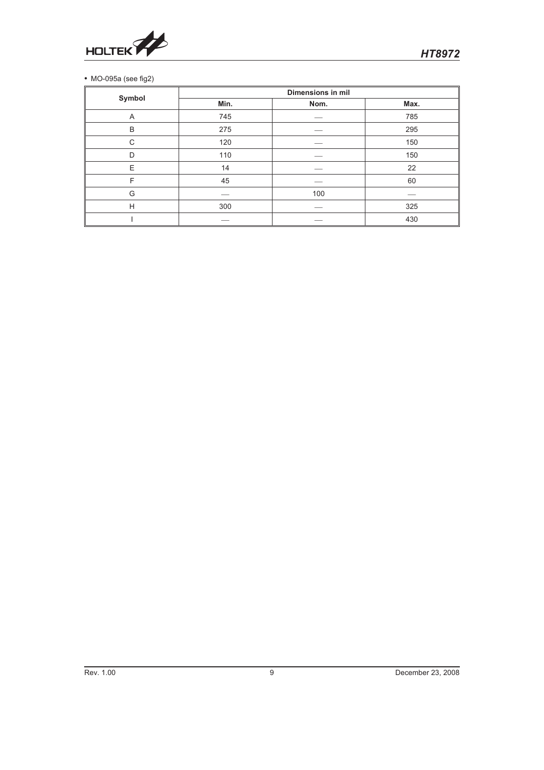

## MO-095a (see fig2)

|        | <b>Dimensions in mil</b> |      |      |  |  |
|--------|--------------------------|------|------|--|--|
| Symbol | Min.                     | Nom. | Max. |  |  |
| Α      | 745                      |      | 785  |  |  |
| B      | 275                      |      | 295  |  |  |
| C      | 120                      |      | 150  |  |  |
| D      | 110                      |      | 150  |  |  |
| E      | 14                       |      | 22   |  |  |
| F      | 45                       |      | 60   |  |  |
| G      |                          | 100  |      |  |  |
| H      | 300                      |      | 325  |  |  |
|        |                          |      | 430  |  |  |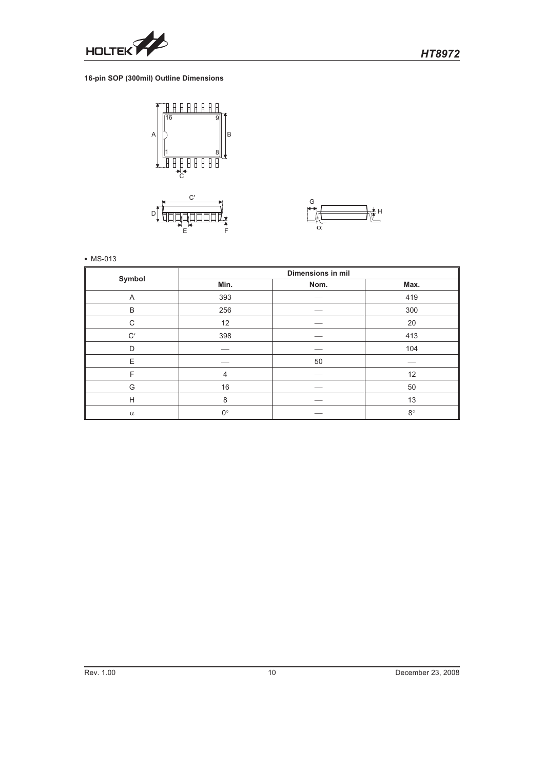

# *HT8972*

### **16-pin SOP (300mil) Outline Dimensions**





• MS-013

|              | <b>Dimensions in mil</b> |      |             |  |  |
|--------------|--------------------------|------|-------------|--|--|
| Symbol       | Min.                     | Nom. | Max.        |  |  |
| A            | 393                      |      | 419         |  |  |
| B            | 256                      |      | 300         |  |  |
| $\mathsf{C}$ | 12                       |      | 20          |  |  |
| C'           | 398                      |      | 413         |  |  |
| D            |                          |      | 104         |  |  |
| E            |                          | 50   |             |  |  |
| F            | 4                        |      | 12          |  |  |
| G            | 16                       |      | 50          |  |  |
| H            | 8                        |      | 13          |  |  |
| $\alpha$     | $0^{\circ}$              |      | $8^{\circ}$ |  |  |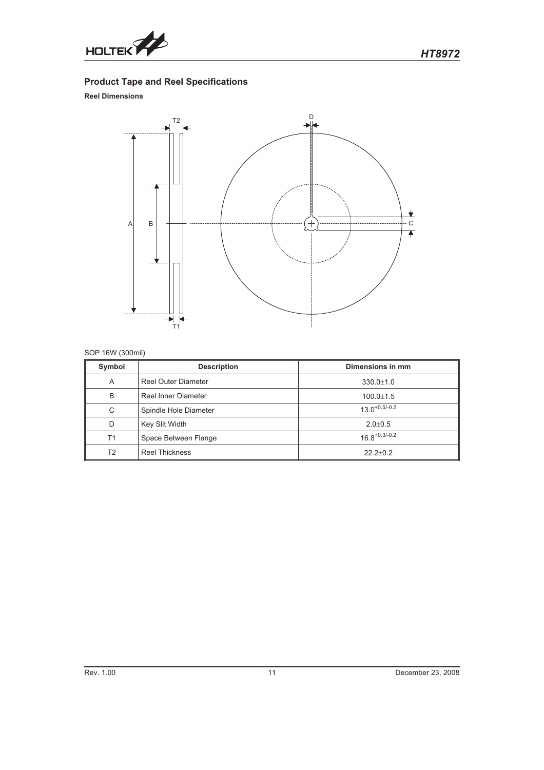

# **Product Tape and Reel Specifications**

## **Reel Dimensions**



## SOP 16W (300mil)

| Symbol         | <b>Description</b>         | Dimensions in mm   |
|----------------|----------------------------|--------------------|
| A              | <b>Reel Outer Diameter</b> | $330.0 \pm 1.0$    |
| B              | Reel Inner Diameter        | $100.0 + 1.5$      |
| C              | Spindle Hole Diameter      | $13.0^{+0.5/-0.2}$ |
| D              | Key Slit Width             | $2.0 \pm 0.5$      |
| T1             | Space Between Flange       | $16.8^{+0.3/-0.2}$ |
| T <sub>2</sub> | <b>Reel Thickness</b>      | $22.2+0.2$         |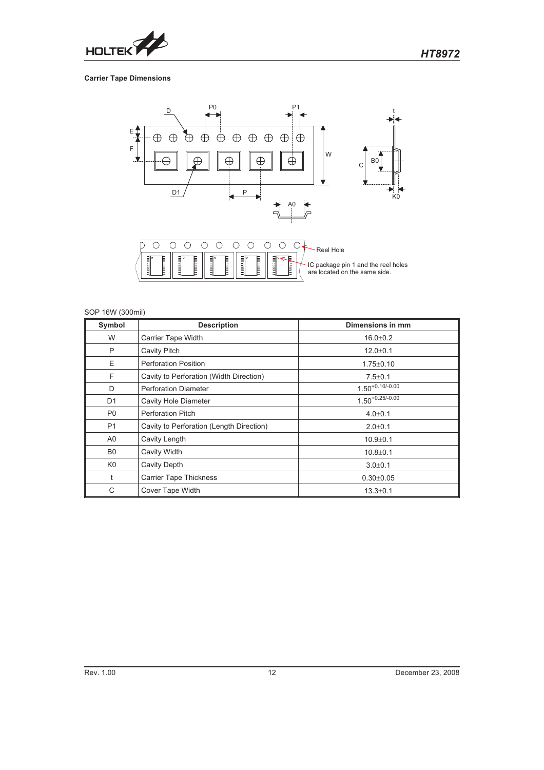

### **Carrier Tape Dimensions**



| SOP 16W (300mil) |                                          |                      |
|------------------|------------------------------------------|----------------------|
| Symbol           | <b>Description</b>                       | Dimensions in mm     |
| W                | Carrier Tape Width                       | $16.0 \pm 0.2$       |
| P                | Cavity Pitch                             | $12.0 + 0.1$         |
| E                | <b>Perforation Position</b>              | $1.75 \pm 0.10$      |
| F                | Cavity to Perforation (Width Direction)  | $7.5 \pm 0.1$        |
| D                | <b>Perforation Diameter</b>              | $1.50^{+0.10/-0.00}$ |
| D <sub>1</sub>   | Cavity Hole Diameter                     | $1.50^{+0.25/-0.00}$ |
| P <sub>0</sub>   | <b>Perforation Pitch</b>                 | $4.0 \pm 0.1$        |
| P1               | Cavity to Perforation (Length Direction) | $2.0 \pm 0.1$        |
| A <sub>0</sub>   | Cavity Length                            | $10.9 + 0.1$         |
| B <sub>0</sub>   | Cavity Width                             | $10.8 + 0.1$         |
| K <sub>0</sub>   | Cavity Depth                             | $3.0 + 0.1$          |
|                  | <b>Carrier Tape Thickness</b>            | $0.30 + 0.05$        |
| С                | Cover Tape Width                         | $13.3 \pm 0.1$       |